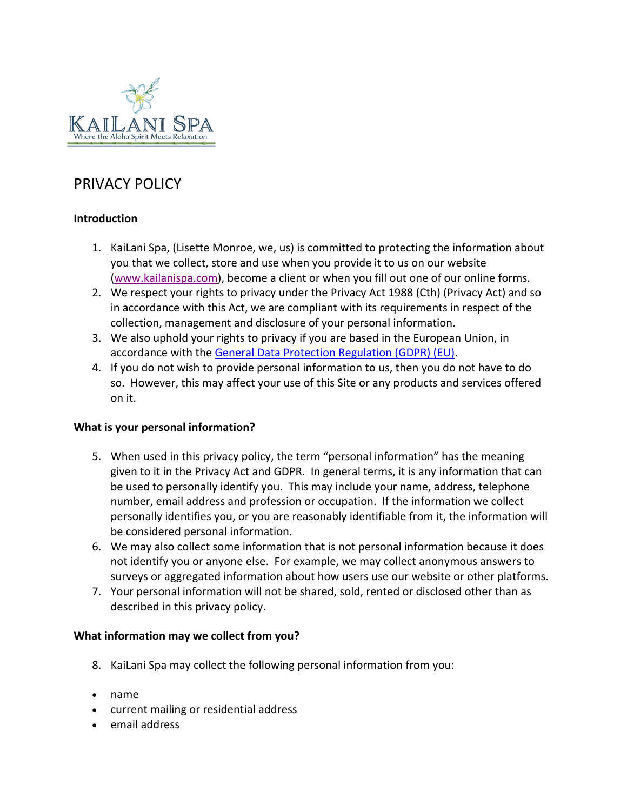

# PRIVACY POLICY

# **Introduction**

- 1. KaiLani Spa, (Lisette Monroe, we, us) is committed to protecting the information about you that we collect, store and use when you provide it to us on our website [\(www.kailanispa.com\)](http://www.kailanispa.com/), become a client or when you fill out one of our online forms.
- 2. We respect your rights to privacy under the Privacy Act 1988 (Cth) (Privacy Act) and so in accordance with this Act, we are compliant with its requirements in respect of the collection, management and disclosure of your personal information.
- 3. We also uphold your rights to privacy if you are based in the European Union, in accordance with the [General Data Protection Regulation \(GDPR\) \(EU\).](https://www.eugdpr.org/gdpr-faqs.html)
- 4. If you do not wish to provide personal information to us, then you do not have to do so. However, this may affect your use of this Site or any products and services offered on it.

# **What is your personal information?**

- 5. When used in this privacy policy, the term "personal information" has the meaning given to it in the Privacy Act and GDPR. In general terms, it is any information that can be used to personally identify you. This may include your name, address, telephone number, email address and profession or occupation. If the information we collect personally identifies you, or you are reasonably identifiable from it, the information will be considered personal information.
- 6. We may also collect some information that is not personal information because it does not identify you or anyone else. For example, we may collect anonymous answers to surveys or aggregated information about how users use our website or other platforms.
- 7. Your personal information will not be shared, sold, rented or disclosed other than as described in this privacy policy.

#### **What information may we collect from you?**

- 8. KaiLani Spa may collect the following personal information from you:
- name
- current mailing or residential address
- email address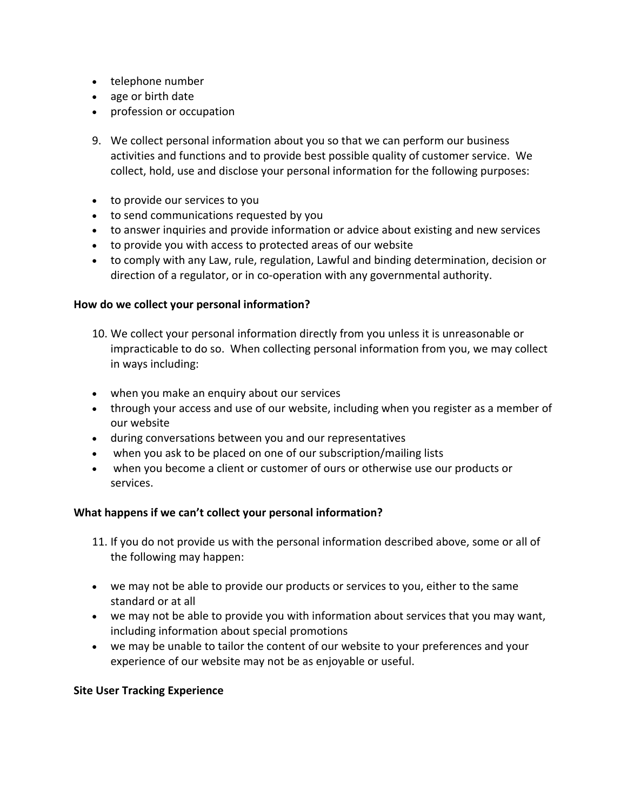- telephone number
- age or birth date
- profession or occupation
- 9. We collect personal information about you so that we can perform our business activities and functions and to provide best possible quality of customer service. We collect, hold, use and disclose your personal information for the following purposes:
- to provide our services to you
- to send communications requested by you
- to answer inquiries and provide information or advice about existing and new services
- to provide you with access to protected areas of our website
- to comply with any Law, rule, regulation, Lawful and binding determination, decision or direction of a regulator, or in co-operation with any governmental authority.

#### **How do we collect your personal information?**

- 10. We collect your personal information directly from you unless it is unreasonable or impracticable to do so. When collecting personal information from you, we may collect in ways including:
- when you make an enquiry about our services
- through your access and use of our website, including when you register as a member of our website
- during conversations between you and our representatives
- when you ask to be placed on one of our subscription/mailing lists
- when you become a client or customer of ours or otherwise use our products or services.

#### **What happens if we can't collect your personal information?**

- 11. If you do not provide us with the personal information described above, some or all of the following may happen:
- we may not be able to provide our products or services to you, either to the same standard or at all
- we may not be able to provide you with information about services that you may want, including information about special promotions
- we may be unable to tailor the content of our website to your preferences and your experience of our website may not be as enjoyable or useful.

#### **Site User Tracking Experience**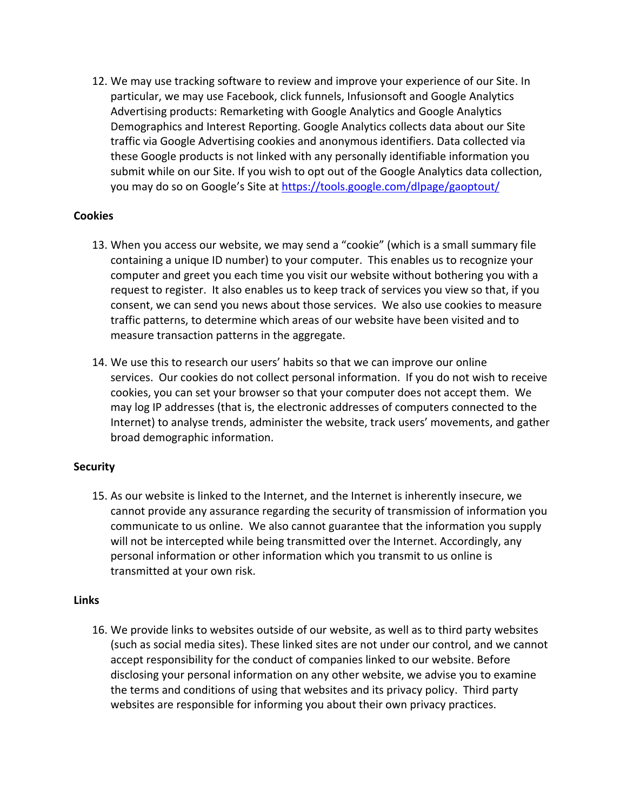12. We may use tracking software to review and improve your experience of our Site. In particular, we may use Facebook, click funnels, Infusionsoft and Google Analytics Advertising products: Remarketing with Google Analytics and Google Analytics Demographics and Interest Reporting. Google Analytics collects data about our Site traffic via Google Advertising cookies and anonymous identifiers. Data collected via these Google products is not linked with any personally identifiable information you submit while on our Site. If you wish to opt out of the Google Analytics data collection, you may do so on Google's Site at<https://tools.google.com/dlpage/gaoptout/>

#### **Cookies**

- 13. When you access our website, we may send a "cookie" (which is a small summary file containing a unique ID number) to your computer. This enables us to recognize your computer and greet you each time you visit our website without bothering you with a request to register. It also enables us to keep track of services you view so that, if you consent, we can send you news about those services. We also use cookies to measure traffic patterns, to determine which areas of our website have been visited and to measure transaction patterns in the aggregate.
- 14. We use this to research our users' habits so that we can improve our online services. Our cookies do not collect personal information. If you do not wish to receive cookies, you can set your browser so that your computer does not accept them. We may log IP addresses (that is, the electronic addresses of computers connected to the Internet) to analyse trends, administer the website, track users' movements, and gather broad demographic information.

#### **Security**

15. As our website is linked to the Internet, and the Internet is inherently insecure, we cannot provide any assurance regarding the security of transmission of information you communicate to us online. We also cannot guarantee that the information you supply will not be intercepted while being transmitted over the Internet. Accordingly, any personal information or other information which you transmit to us online is transmitted at your own risk.

#### **Links**

16. We provide links to websites outside of our website, as well as to third party websites (such as social media sites). These linked sites are not under our control, and we cannot accept responsibility for the conduct of companies linked to our website. Before disclosing your personal information on any other website, we advise you to examine the terms and conditions of using that websites and its privacy policy. Third party websites are responsible for informing you about their own privacy practices.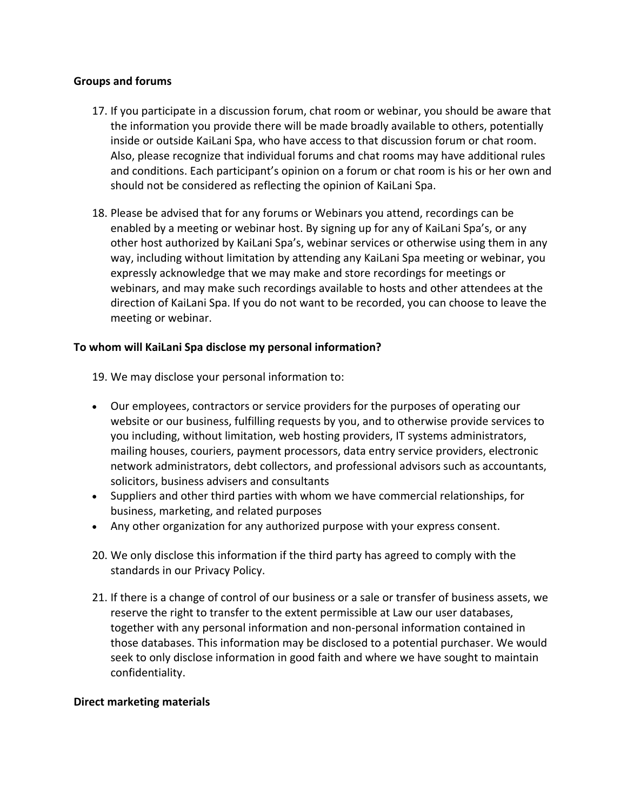#### **Groups and forums**

- 17. If you participate in a discussion forum, chat room or webinar, you should be aware that the information you provide there will be made broadly available to others, potentially inside or outside KaiLani Spa, who have access to that discussion forum or chat room. Also, please recognize that individual forums and chat rooms may have additional rules and conditions. Each participant's opinion on a forum or chat room is his or her own and should not be considered as reflecting the opinion of KaiLani Spa.
- 18. Please be advised that for any forums or Webinars you attend, recordings can be enabled by a meeting or webinar host. By signing up for any of KaiLani Spa's, or any other host authorized by KaiLani Spa's, webinar services or otherwise using them in any way, including without limitation by attending any KaiLani Spa meeting or webinar, you expressly acknowledge that we may make and store recordings for meetings or webinars, and may make such recordings available to hosts and other attendees at the direction of KaiLani Spa. If you do not want to be recorded, you can choose to leave the meeting or webinar.

## **To whom will KaiLani Spa disclose my personal information?**

19. We may disclose your personal information to:

- Our employees, contractors or service providers for the purposes of operating our website or our business, fulfilling requests by you, and to otherwise provide services to you including, without limitation, web hosting providers, IT systems administrators, mailing houses, couriers, payment processors, data entry service providers, electronic network administrators, debt collectors, and professional advisors such as accountants, solicitors, business advisers and consultants
- Suppliers and other third parties with whom we have commercial relationships, for business, marketing, and related purposes
- Any other organization for any authorized purpose with your express consent.
- 20. We only disclose this information if the third party has agreed to comply with the standards in our Privacy Policy.
- 21. If there is a change of control of our business or a sale or transfer of business assets, we reserve the right to transfer to the extent permissible at Law our user databases, together with any personal information and non-personal information contained in those databases. This information may be disclosed to a potential purchaser. We would seek to only disclose information in good faith and where we have sought to maintain confidentiality.

#### **Direct marketing materials**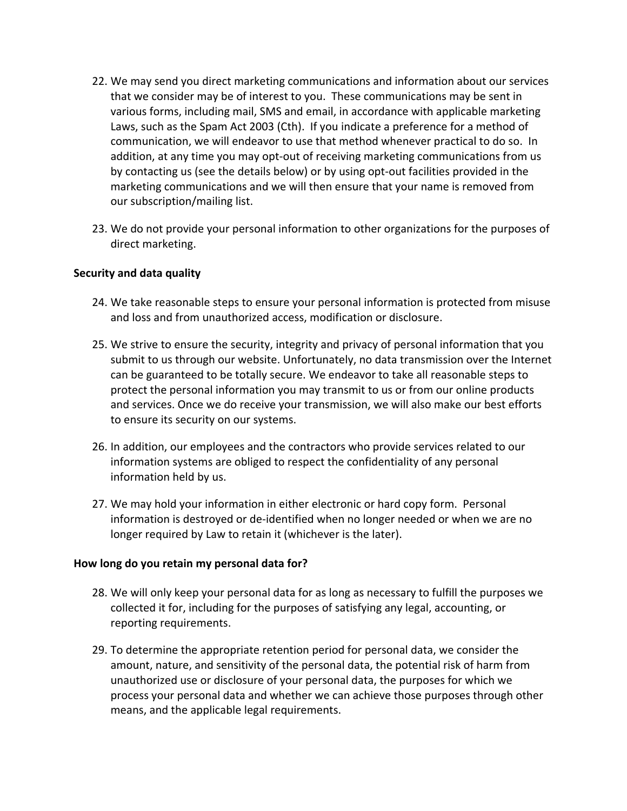- 22. We may send you direct marketing communications and information about our services that we consider may be of interest to you. These communications may be sent in various forms, including mail, SMS and email, in accordance with applicable marketing Laws, such as the Spam Act 2003 (Cth). If you indicate a preference for a method of communication, we will endeavor to use that method whenever practical to do so. In addition, at any time you may opt-out of receiving marketing communications from us by contacting us (see the details below) or by using opt-out facilities provided in the marketing communications and we will then ensure that your name is removed from our subscription/mailing list.
- 23. We do not provide your personal information to other organizations for the purposes of direct marketing.

#### **Security and data quality**

- 24. We take reasonable steps to ensure your personal information is protected from misuse and loss and from unauthorized access, modification or disclosure.
- 25. We strive to ensure the security, integrity and privacy of personal information that you submit to us through our website. Unfortunately, no data transmission over the Internet can be guaranteed to be totally secure. We endeavor to take all reasonable steps to protect the personal information you may transmit to us or from our online products and services. Once we do receive your transmission, we will also make our best efforts to ensure its security on our systems.
- 26. In addition, our employees and the contractors who provide services related to our information systems are obliged to respect the confidentiality of any personal information held by us.
- 27. We may hold your information in either electronic or hard copy form. Personal information is destroyed or de-identified when no longer needed or when we are no longer required by Law to retain it (whichever is the later).

#### **How long do you retain my personal data for?**

- 28. We will only keep your personal data for as long as necessary to fulfill the purposes we collected it for, including for the purposes of satisfying any legal, accounting, or reporting requirements.
- 29. To determine the appropriate retention period for personal data, we consider the amount, nature, and sensitivity of the personal data, the potential risk of harm from unauthorized use or disclosure of your personal data, the purposes for which we process your personal data and whether we can achieve those purposes through other means, and the applicable legal requirements.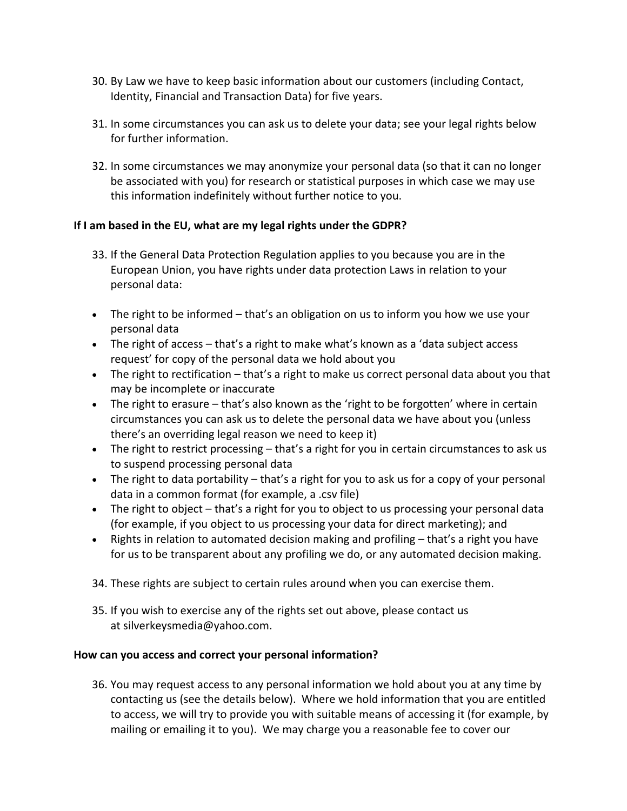- 30. By Law we have to keep basic information about our customers (including Contact, Identity, Financial and Transaction Data) for five years.
- 31. In some circumstances you can ask us to delete your data; see your legal rights below for further information.
- 32. In some circumstances we may anonymize your personal data (so that it can no longer be associated with you) for research or statistical purposes in which case we may use this information indefinitely without further notice to you.

# **If I am based in the EU, what are my legal rights under the GDPR?**

- 33. If the General Data Protection Regulation applies to you because you are in the European Union, you have rights under data protection Laws in relation to your personal data:
- The right to be informed that's an obligation on us to inform you how we use your personal data
- The right of access that's a right to make what's known as a 'data subject access request' for copy of the personal data we hold about you
- The right to rectification that's a right to make us correct personal data about you that may be incomplete or inaccurate
- The right to erasure that's also known as the 'right to be forgotten' where in certain circumstances you can ask us to delete the personal data we have about you (unless there's an overriding legal reason we need to keep it)
- The right to restrict processing that's a right for you in certain circumstances to ask us to suspend processing personal data
- The right to data portability that's a right for you to ask us for a copy of your personal data in a common format (for example, a .csv file)
- The right to object that's a right for you to object to us processing your personal data (for example, if you object to us processing your data for direct marketing); and
- Rights in relation to automated decision making and profiling that's a right you have for us to be transparent about any profiling we do, or any automated decision making.
- 34. These rights are subject to certain rules around when you can exercise them.
- 35. If you wish to exercise any of the rights set out above, please contact us at silverkeysmedia@yahoo.com.

# **How can you access and correct your personal information?**

36. You may request access to any personal information we hold about you at any time by contacting us (see the details below). Where we hold information that you are entitled to access, we will try to provide you with suitable means of accessing it (for example, by mailing or emailing it to you). We may charge you a reasonable fee to cover our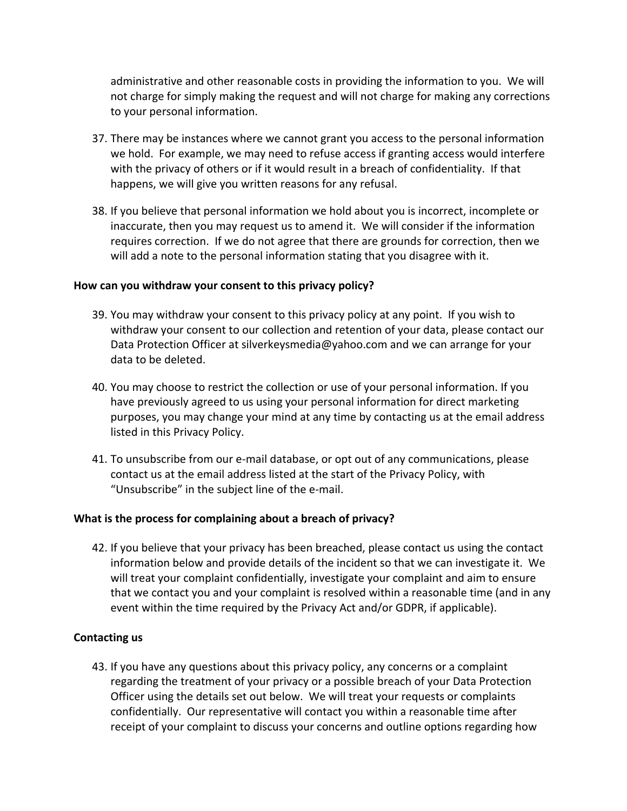administrative and other reasonable costs in providing the information to you. We will not charge for simply making the request and will not charge for making any corrections to your personal information.

- 37. There may be instances where we cannot grant you access to the personal information we hold. For example, we may need to refuse access if granting access would interfere with the privacy of others or if it would result in a breach of confidentiality. If that happens, we will give you written reasons for any refusal.
- 38. If you believe that personal information we hold about you is incorrect, incomplete or inaccurate, then you may request us to amend it. We will consider if the information requires correction. If we do not agree that there are grounds for correction, then we will add a note to the personal information stating that you disagree with it.

#### **How can you withdraw your consent to this privacy policy?**

- 39. You may withdraw your consent to this privacy policy at any point. If you wish to withdraw your consent to our collection and retention of your data, please contact our Data Protection Officer at silverkeysmedia@yahoo.com and we can arrange for your data to be deleted.
- 40. You may choose to restrict the collection or use of your personal information. If you have previously agreed to us using your personal information for direct marketing purposes, you may change your mind at any time by contacting us at the email address listed in this Privacy Policy.
- 41. To unsubscribe from our e-mail database, or opt out of any communications, please contact us at the email address listed at the start of the Privacy Policy, with "Unsubscribe" in the subject line of the e-mail.

#### **What is the process for complaining about a breach of privacy?**

42. If you believe that your privacy has been breached, please contact us using the contact information below and provide details of the incident so that we can investigate it. We will treat your complaint confidentially, investigate your complaint and aim to ensure that we contact you and your complaint is resolved within a reasonable time (and in any event within the time required by the Privacy Act and/or GDPR, if applicable).

#### **Contacting us**

43. If you have any questions about this privacy policy, any concerns or a complaint regarding the treatment of your privacy or a possible breach of your Data Protection Officer using the details set out below. We will treat your requests or complaints confidentially. Our representative will contact you within a reasonable time after receipt of your complaint to discuss your concerns and outline options regarding how